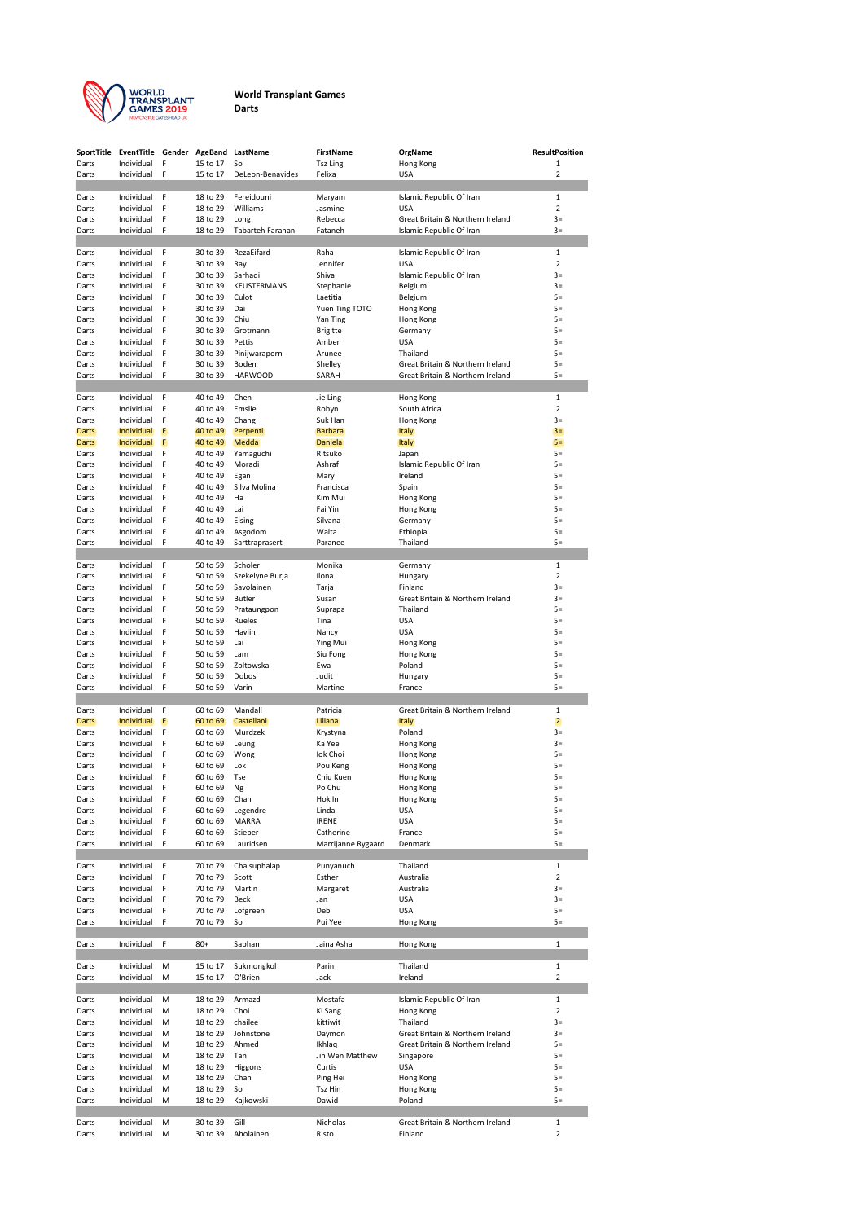

## **World Transplant Games Darts**

|                       | SportTitle EventTitle Gender AgeBand |        |                      | LastName                      | FirstName                  | OrgName                                                              | <b>ResultPosition</b>          |
|-----------------------|--------------------------------------|--------|----------------------|-------------------------------|----------------------------|----------------------------------------------------------------------|--------------------------------|
| Darts                 | Individual                           | F      | 15 to 17             | So                            | <b>Tsz Ling</b>            | Hong Kong                                                            | 1                              |
| Darts                 | Individual                           | F      | 15 to 17             | DeLeon-Benavides              | Felixa                     | USA                                                                  | 2                              |
| Darts                 | Individual                           | F      | 18 to 29             | Fereidouni                    | Maryam                     | Islamic Republic Of Iran                                             | $\mathbf{1}$                   |
| Darts                 | Individual                           | F      | 18 to 29             | Williams                      | Jasmine                    | <b>USA</b>                                                           | 2                              |
| Darts                 | Individual                           | F      | 18 to 29             | Long                          | Rebecca                    | Great Britain & Northern Ireland                                     | $3=$                           |
| Darts                 | Individual                           | F      | 18 to 29             | Tabarteh Farahani             | Fataneh                    | Islamic Republic Of Iran                                             | $3=$                           |
| Darts                 | Individual                           | F      | 30 to 39             | RezaEifard                    | Raha                       | Islamic Republic Of Iran                                             | $\mathbf{1}$                   |
| Darts                 | Individual                           | F      | 30 to 39             | Ray                           | Jennifer                   | USA                                                                  | 2                              |
| Darts                 | Individual                           | F      | 30 to 39             | Sarhadi                       | Shiva                      | Islamic Republic Of Iran                                             | $3=$                           |
| Darts                 | Individual                           | F      | 30 to 39             | KEUSTERMANS                   | Stephanie                  | Belgium                                                              | $3=$                           |
| Darts                 | Individual<br>Individual             | F<br>F | 30 to 39<br>30 to 39 | Culot<br>Dai                  | Laetitia<br>Yuen Ting TOTO | Belgium                                                              | $5=$<br>$5=$                   |
| Darts<br>Darts        | Individual                           | F      | 30 to 39             | Chiu                          | Yan Ting                   | Hong Kong<br>Hong Kong                                               | $5=$                           |
| Darts                 | Individual                           | F      | 30 to 39             | Grotmann                      | <b>Brigitte</b>            | Germany                                                              | $5=$                           |
| Darts                 | Individual                           | F      | 30 to 39             | Pettis                        | Amber                      | USA                                                                  | $5=$                           |
| Darts                 | Individual                           | F      | 30 to 39             | Pinijwaraporn                 | Arunee                     | Thailand                                                             | $5=$                           |
| Darts<br>Darts        | Individual<br>Individual             | F<br>F | 30 to 39<br>30 to 39 | Boden<br><b>HARWOOD</b>       | Shelley<br>SARAH           | Great Britain & Northern Ireland<br>Great Britain & Northern Ireland | $5=$<br>$5=$                   |
|                       |                                      |        |                      |                               |                            |                                                                      |                                |
| Darts                 | Individual                           | F      | 40 to 49             | Chen                          | Jie Ling                   | Hong Kong                                                            | $\mathbf{1}$                   |
| Darts                 | Individual                           | F      | 40 to 49             | Emslie                        | Robyn                      | South Africa                                                         | 2                              |
| Darts                 | Individual                           | F      | 40 to 49             | Chang                         | Suk Han                    | Hong Kong                                                            | $3=$                           |
| <b>Darts</b>          | Individual<br>Individual             | F<br>F | 40 to 49<br>40 to 49 | Perpenti                      | <b>Barbara</b><br>Daniela  | <b>Italy</b>                                                         | $3=$<br>$5=$                   |
| <b>Darts</b><br>Darts | Individual                           | F      | 40 to 49             | Medda<br>Yamaguchi            | Ritsuko                    | <b>Italy</b><br>Japan                                                | $5=$                           |
| Darts                 | Individual                           | F      | 40 to 49             | Moradi                        | Ashraf                     | Islamic Republic Of Iran                                             | $5=$                           |
| Darts                 | Individual                           | F      | 40 to 49             | Egan                          | Mary                       | Ireland                                                              | $5=$                           |
| Darts                 | Individual                           | F      | 40 to 49             | Silva Molina                  | Francisca                  | Spain                                                                | $5=$                           |
| Darts                 | Individual                           | F      | 40 to 49             | Ha                            | Kim Mui                    | Hong Kong                                                            | $5=$                           |
| Darts<br>Darts        | Individual<br>Individual             | F<br>F | 40 to 49<br>40 to 49 | Lai<br>Eising                 | Fai Yin<br>Silvana         | Hong Kong<br>Germany                                                 | $5=$<br>$5=$                   |
| Darts                 | Individual                           | F      | 40 to 49             | Asgodom                       | Walta                      | Ethiopia                                                             | $5=$                           |
| Darts                 | Individual                           | F      | 40 to 49             | Sarttraprasert                | Paranee                    | Thailand                                                             | $5=$                           |
|                       |                                      |        |                      |                               |                            |                                                                      |                                |
| Darts                 | Individual                           | F      | 50 to 59             | Scholer                       | Monika                     | Germany                                                              | $\mathbf{1}$                   |
| Darts<br>Darts        | Individual<br>Individual             | F<br>F | 50 to 59<br>50 to 59 | Szekelyne Burja<br>Savolainen | Ilona<br>Tarja             | Hungary<br>Finland                                                   | $\overline{2}$<br>$3=$         |
| Darts                 | Individual                           | F      | 50 to 59             | Butler                        | Susan                      | Great Britain & Northern Ireland                                     | $3=$                           |
| Darts                 | Individual                           | F      | 50 to 59             | Prataungpon                   | Suprapa                    | Thailand                                                             | $5=$                           |
| Darts                 | Individual                           | F      | 50 to 59             | Rueles                        | Tina                       | USA                                                                  | $5=$                           |
| Darts                 | Individual                           | F      | 50 to 59             | Havlin                        | Nancy                      | USA                                                                  | $5=$                           |
| Darts                 | Individual<br>Individual             | F<br>F | 50 to 59             | Lai                           | Ying Mui                   | Hong Kong                                                            | $5=$<br>$5=$                   |
| Darts<br>Darts        | Individual                           | F      | 50 to 59<br>50 to 59 | Lam<br>Zoltowska              | Siu Fong<br>Ewa            | Hong Kong<br>Poland                                                  | $5=$                           |
| Darts                 | Individual                           | F      | 50 to 59             | Dobos                         | Judit                      | Hungary                                                              | $5=$                           |
| Darts                 | Individual                           | F      | 50 to 59             | Varin                         | Martine                    | France                                                               | $5=$                           |
|                       |                                      |        |                      |                               |                            |                                                                      |                                |
| Darts<br><b>Darts</b> | Individual<br>Individual             | F<br>F | 60 to 69<br>60 to 69 | Mandall<br>Castellani         | Patricia<br>Liliana        | Great Britain & Northern Ireland<br>Italy                            | $\mathbf{1}$<br>$\overline{2}$ |
| Darts                 | Individual                           | F      | 60 to 69             | Murdzek                       | Krystyna                   | Poland                                                               | $3=$                           |
| Darts                 | Individual                           | F      | 60 to 69             | Leung                         | Ka Yee                     | Hong Kong                                                            | $3=$                           |
| Darts                 | Individual                           | F      | 60 to 69             | Wong                          | lok Choi                   | Hong Kong                                                            | $5=$                           |
| Darts                 | Individual                           | F      | 60 to 69             | Lok                           | Pou Keng                   | Hong Kong                                                            | $5=$                           |
| Darts<br>Darts        | Individual<br>Individual             | F<br>F | 60 to 69<br>60 to 69 | Tse<br>Ng                     | Chiu Kuen<br>Po Chu        | Hong Kong<br>Hong Kong                                               | $5=$<br>$5=$                   |
| Darts                 | Individual                           | - F    | 60 to 69             | Chan                          | Hok In                     | Hong Kong                                                            | $5=$                           |
| Darts                 | Individual                           | F      | 60 to 69             | Legendre                      | Linda                      | USA                                                                  | $5=$                           |
| Darts                 | Individual                           | F      | 60 to 69             | MARRA                         | <b>IRENE</b>               | USA                                                                  | $5=$                           |
| Darts                 | Individual                           | F      | 60 to 69             | Stieber                       | Catherine                  | France                                                               | $5=$                           |
| Darts                 | Individual                           | F      | 60 to 69             | Lauridsen                     | Marrijanne Rygaard         | Denmark                                                              | $5=$                           |
| Darts                 | Individual                           | F      | 70 to 79             | Chaisuphalap                  | Punyanuch                  | Thailand                                                             | $\mathbf{1}$                   |
| Darts                 | Individual                           | F      | 70 to 79             | Scott                         | Esther                     | Australia                                                            | 2                              |
| Darts                 | Individual                           | F      | 70 to 79             | Martin                        | Margaret                   | Australia                                                            | $3=$                           |
| Darts                 | Individual                           | F      | 70 to 79             | Beck                          | Jan                        | USA                                                                  | $3=$                           |
| Darts<br>Darts        | Individual<br>Individual             | F<br>F | 70 to 79<br>70 to 79 | Lofgreen<br>So                | Deb<br>Pui Yee             | USA<br>Hong Kong                                                     | $5=$<br>$5=$                   |
|                       |                                      |        |                      |                               |                            |                                                                      |                                |
| Darts                 | Individual                           | F      | $80+$                | Sabhan                        | Jaina Asha                 | Hong Kong                                                            | $\mathbf 1$                    |
|                       |                                      |        |                      |                               |                            |                                                                      |                                |
| Darts<br>Darts        | Individual<br>Individual             | М<br>м | 15 to 17<br>15 to 17 | Sukmongkol<br>O'Brien         | Parin<br>Jack              | Thailand<br>Ireland                                                  | 1<br>2                         |
|                       |                                      |        |                      |                               |                            |                                                                      |                                |
| Darts                 | Individual                           | М      | 18 to 29             | Armazd                        | Mostafa                    | Islamic Republic Of Iran                                             | 1                              |
| Darts                 | Individual                           | М      | 18 to 29             | Choi                          | Ki Sang                    | Hong Kong                                                            | $\overline{2}$                 |
| Darts                 | Individual                           | м      | 18 to 29             | chailee                       | kittiwit                   | Thailand                                                             | $3=$                           |
| Darts                 | Individual                           | М      | 18 to 29             | Johnstone                     | Daymon                     | Great Britain & Northern Ireland                                     | $3=$                           |
| Darts<br>Darts        | Individual<br>Individual             | М<br>м | 18 to 29<br>18 to 29 | Ahmed<br>Tan                  | Ikhlaq<br>Jin Wen Matthew  | Great Britain & Northern Ireland<br>Singapore                        | $5=$<br>$5=$                   |
| Darts                 | Individual                           | м      | 18 to 29             | Higgons                       | Curtis                     | USA                                                                  | $5=$                           |
| Darts                 | Individual                           | м      | 18 to 29             | Chan                          | Ping Hei                   | Hong Kong                                                            | $5=$                           |
| Darts                 | Individual                           | М      | 18 to 29             | So                            | Tsz Hin                    | Hong Kong                                                            | $5=$                           |
| Darts                 | Individual                           | м      | 18 to 29             | Kajkowski                     | Dawid                      | Poland                                                               | $5=$                           |
| Darts                 | Individual                           | М      | 30 to 39             | Gill                          | Nicholas                   | Great Britain & Northern Ireland                                     | $1\,$                          |
| Darts                 | Individual                           | М      | 30 to 39             | Aholainen                     | Risto                      | Finland                                                              | $\overline{2}$                 |
|                       |                                      |        |                      |                               |                            |                                                                      |                                |